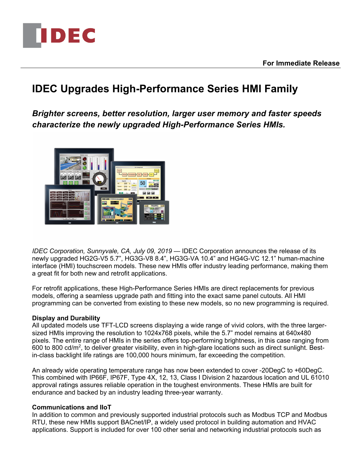

**For Immediate Release**

# **IDEC Upgrades High-Performance Series HMI Family**

*Brighter screens, better resolution, larger user memory and faster speeds characterize the newly upgraded High-Performance Series HMIs.*



*IDEC Corporation, Sunnyvale, CA, July 09, 2019* — IDEC Corporation announces the release of its newly upgraded HG2G-V5 5.7", HG3G-V8 8.4", HG3G-VA 10.4" and HG4G-VC 12.1" human-machine interface (HMI) touchscreen models. These new HMIs offer industry leading performance, making them a great fit for both new and retrofit applications.

For retrofit applications, these High-Performance Series HMIs are direct replacements for previous models, offering a seamless upgrade path and fitting into the exact same panel cutouts. All HMI programming can be converted from existing to these new models, so no new programming is required.

## **Display and Durability**

All updated models use TFT-LCD screens displaying a wide range of vivid colors, with the three largersized HMIs improving the resolution to 1024x768 pixels, while the 5.7" model remains at 640x480 pixels. The entire range of HMIs in the series offers top-performing brightness, in this case ranging from 600 to 800 cd/m<sup>2</sup>, to deliver greater visibility, even in high-glare locations such as direct sunlight. Bestin-class backlight life ratings are 100,000 hours minimum, far exceeding the competition.

An already wide operating temperature range has now been extended to cover -20DegC to +60DegC. This combined with IP66F, IP67F, Type 4X, 12, 13, Class I Division 2 hazardous location and UL 61010 approval ratings assures reliable operation in the toughest environments. These HMIs are built for endurance and backed by an industry leading three-year warranty.

## **Communications and IIoT**

In addition to common and previously supported industrial protocols such as Modbus TCP and Modbus RTU, these new HMIs support BACnet/IP, a widely used protocol in building automation and HVAC applications. Support is included for over 100 other serial and networking industrial protocols such as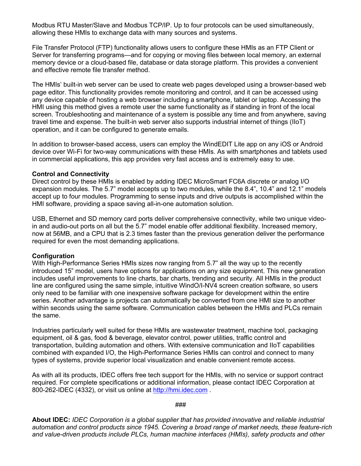Modbus RTU Master/Slave and Modbus TCP/IP. Up to four protocols can be used simultaneously, allowing these HMIs to exchange data with many sources and systems.

File Transfer Protocol (FTP) functionality allows users to configure these HMIs as an FTP Client or Server for transferring programs—and for copying or moving files between local memory, an external memory device or a cloud-based file, database or data storage platform. This provides a convenient and effective remote file transfer method.

The HMIs' built-in web server can be used to create web pages developed using a browser-based web page editor. This functionality provides remote monitoring and control, and it can be accessed using any device capable of hosting a web browser including a smartphone, tablet or laptop. Accessing the HMI using this method gives a remote user the same functionality as if standing in front of the local screen. Troubleshooting and maintenance of a system is possible any time and from anywhere, saving travel time and expense. The built-in web server also supports industrial internet of things (IIoT) operation, and it can be configured to generate emails.

In addition to browser-based access, users can employ the WindEDIT Lite app on any iOS or Android device over Wi-Fi for two-way communications with these HMIs. As with smartphones and tablets used in commercial applications, this app provides very fast access and is extremely easy to use.

### **Control and Connectivity**

Direct control by these HMIs is enabled by adding IDEC MicroSmart FC6A discrete or analog I/O expansion modules. The 5.7" model accepts up to two modules, while the 8.4", 10.4" and 12.1" models accept up to four modules. Programming to sense inputs and drive outputs is accomplished within the HMI software, providing a space saving all-in-one automation solution.

USB, Ethernet and SD memory card ports deliver comprehensive connectivity, while two unique videoin and audio-out ports on all but the 5.7" model enable offer additional flexibility. Increased memory, now at 56MB, and a CPU that is 2.3 times faster than the previous generation deliver the performance required for even the most demanding applications.

## **Configuration**

With High-Performance Series HMIs sizes now ranging from 5.7" all the way up to the recently introduced 15" model, users have options for applications on any size equipment. This new generation includes useful improvements to line charts, bar charts, trending and security. All HMIs in the product line are configured using the same simple, intuitive WindO/I-NV4 screen creation software, so users only need to be familiar with one inexpensive software package for development within the entire series. Another advantage is projects can automatically be converted from one HMI size to another within seconds using the same software. Communication cables between the HMIs and PLCs remain the same.

Industries particularly well suited for these HMIs are wastewater treatment, machine tool, packaging equipment, oil & gas, food & beverage, elevator control, power utilities, traffic control and transportation, building automation and others. With extensive communication and IIoT capabilities combined with expanded I/O, the High-Performance Series HMIs can control and connect to many types of systems, provide superior local visualization and enable convenient remote access.

As with all its products, IDEC offers free tech support for the HMIs, with no service or support contract required. For complete specifications or additional information, please contact IDEC Corporation at 800-262-IDEC (4332), or visit us online at http://hmi.idec.com .

###

**About IDEC:** *IDEC Corporation is a global supplier that has provided innovative and reliable industrial automation and control products since 1945. Covering a broad range of market needs, these feature-rich and value-driven products include PLCs, human machine interfaces (HMIs), safety products and other*